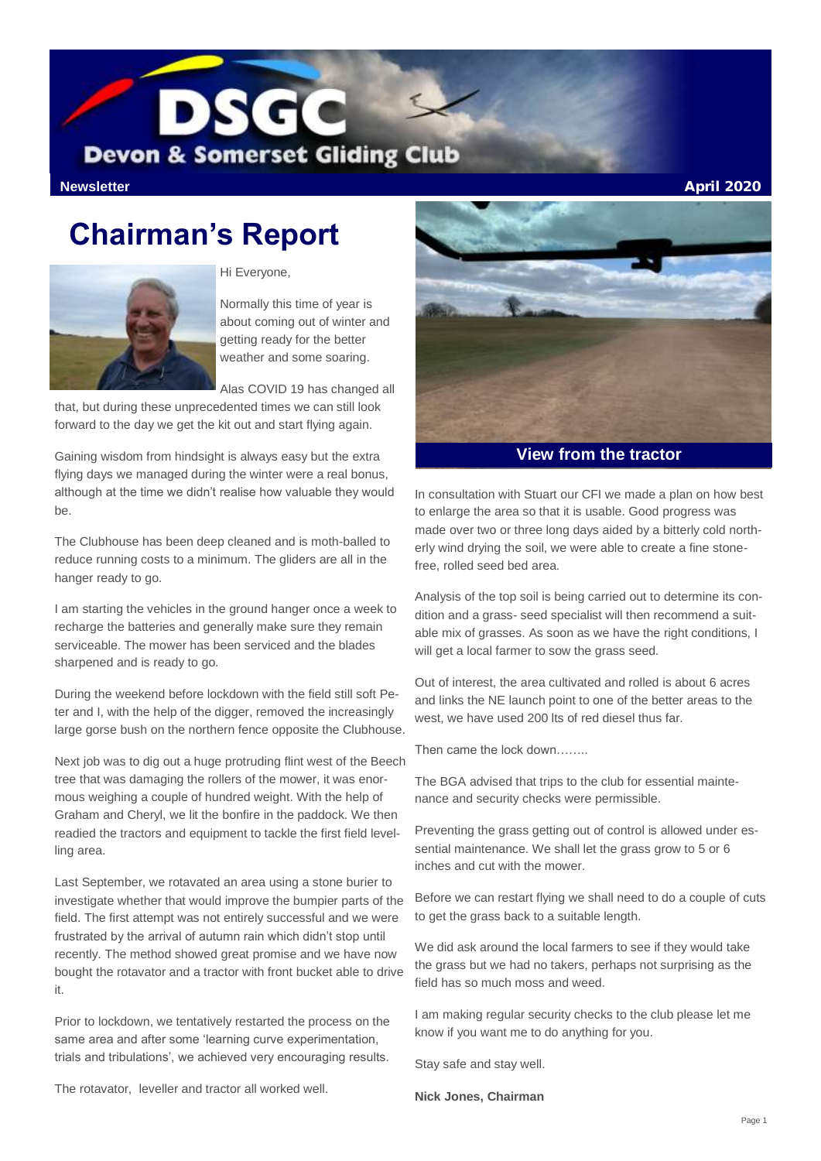

**Newsletter** April 2020

# **Chairman's Report**



Hi Everyone,

Normally this time of year is about coming out of winter and getting ready for the better weather and some soaring.

Alas COVID 19 has changed all

that, but during these unprecedented times we can still look forward to the day we get the kit out and start flying again.

Gaining wisdom from hindsight is always easy but the extra flying days we managed during the winter were a real bonus, although at the time we didn't realise how valuable they would be.

The Clubhouse has been deep cleaned and is moth-balled to reduce running costs to a minimum. The gliders are all in the hanger ready to go.

I am starting the vehicles in the ground hanger once a week to recharge the batteries and generally make sure they remain serviceable. The mower has been serviced and the blades sharpened and is ready to go.

During the weekend before lockdown with the field still soft Peter and I, with the help of the digger, removed the increasingly large gorse bush on the northern fence opposite the Clubhouse.

Next job was to dig out a huge protruding flint west of the Beech tree that was damaging the rollers of the mower, it was enormous weighing a couple of hundred weight. With the help of Graham and Cheryl, we lit the bonfire in the paddock. We then readied the tractors and equipment to tackle the first field levelling area.

Last September, we rotavated an area using a stone burier to investigate whether that would improve the bumpier parts of the field. The first attempt was not entirely successful and we were frustrated by the arrival of autumn rain which didn't stop until recently. The method showed great promise and we have now bought the rotavator and a tractor with front bucket able to drive it.

Prior to lockdown, we tentatively restarted the process on the same area and after some 'learning curve experimentation, trials and tribulations', we achieved very encouraging results.



**View from the tractor**

In consultation with Stuart our CFI we made a plan on how best to enlarge the area so that it is usable. Good progress was made over two or three long days aided by a bitterly cold northerly wind drying the soil, we were able to create a fine stonefree, rolled seed bed area.

Analysis of the top soil is being carried out to determine its condition and a grass- seed specialist will then recommend a suitable mix of grasses. As soon as we have the right conditions, I will get a local farmer to sow the grass seed.

Out of interest, the area cultivated and rolled is about 6 acres and links the NE launch point to one of the better areas to the west, we have used 200 lts of red diesel thus far.

Then came the lock down……..

The BGA advised that trips to the club for essential maintenance and security checks were permissible.

Preventing the grass getting out of control is allowed under essential maintenance. We shall let the grass grow to 5 or 6 inches and cut with the mower.

Before we can restart flying we shall need to do a couple of cuts to get the grass back to a suitable length.

We did ask around the local farmers to see if they would take the grass but we had no takers, perhaps not surprising as the field has so much moss and weed.

I am making regular security checks to the club please let me know if you want me to do anything for you.

Stay safe and stay well.

**Nick Jones, Chairman**

The rotavator, leveller and tractor all worked well.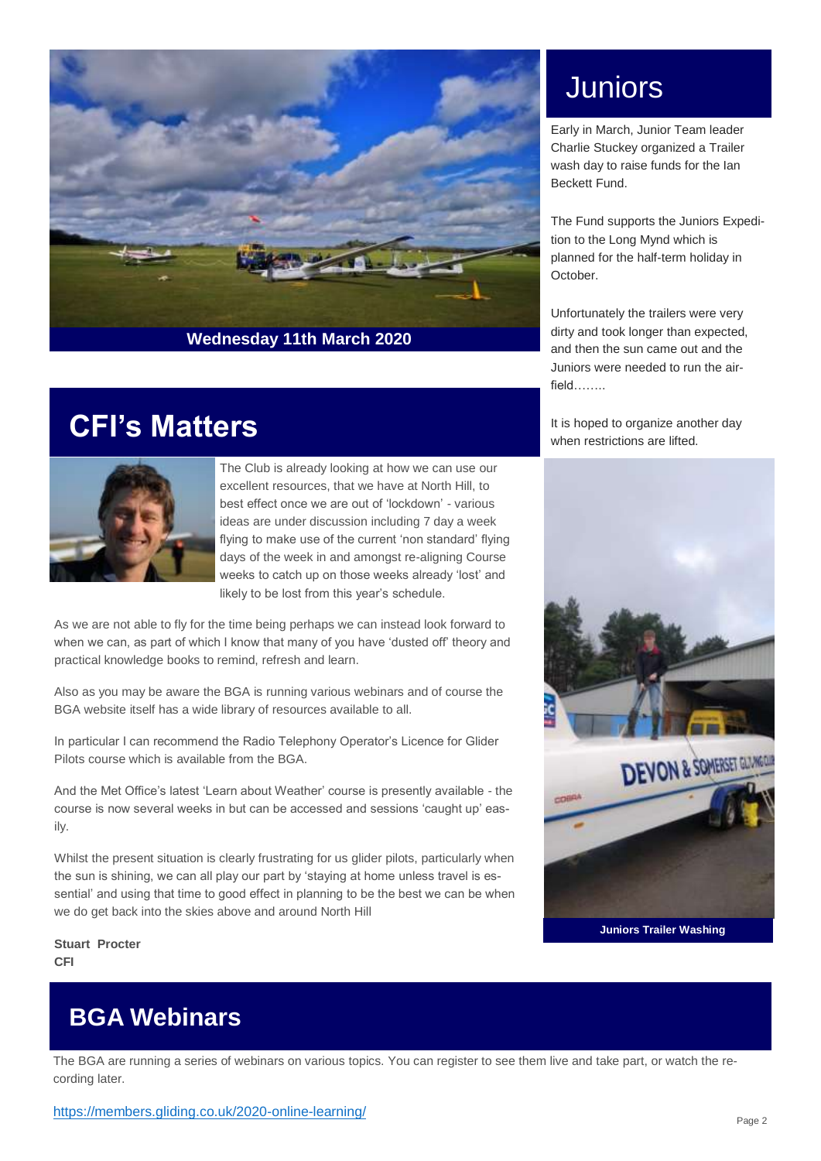

# Juniors

Early in March, Junior Team leader Charlie Stuckey organized a Trailer wash day to raise funds for the Ian Beckett Fund.

The Fund supports the Juniors Expedition to the Long Mynd which is planned for the half-term holiday in October.

Unfortunately the trailers were very dirty and took longer than expected, and then the sun came out and the Juniors were needed to run the airfield……..

It is hoped to organize another day when restrictions are lifted.



**Juniors Trailer Washing**

## **CFI's Matters**



The Club is already looking at how we can use our excellent resources, that we have at North Hill, to best effect once we are out of 'lockdown' - various ideas are under discussion including 7 day a week flying to make use of the current 'non standard' flying days of the week in and amongst re-aligning Course weeks to catch up on those weeks already 'lost' and likely to be lost from this year's schedule.

As we are not able to fly for the time being perhaps we can instead look forward to when we can, as part of which I know that many of you have 'dusted off' theory and practical knowledge books to remind, refresh and learn.

Also as you may be aware the BGA is running various webinars and of course the BGA website itself has a wide library of resources available to all.

In particular I can recommend the Radio Telephony Operator's Licence for Glider Pilots course which is available from the BGA.

And the Met Office's latest 'Learn about Weather' course is presently available - the course is now several weeks in but can be accessed and sessions 'caught up' easily.

Whilst the present situation is clearly frustrating for us glider pilots, particularly when the sun is shining, we can all play our part by 'staying at home unless travel is essential' and using that time to good effect in planning to be the best we can be when we do get back into the skies above and around North Hill

**Stuart Procter CFI**

### **BGA Webinars**

The BGA are running a series of webinars on various topics. You can register to see them live and take part, or watch the recording later.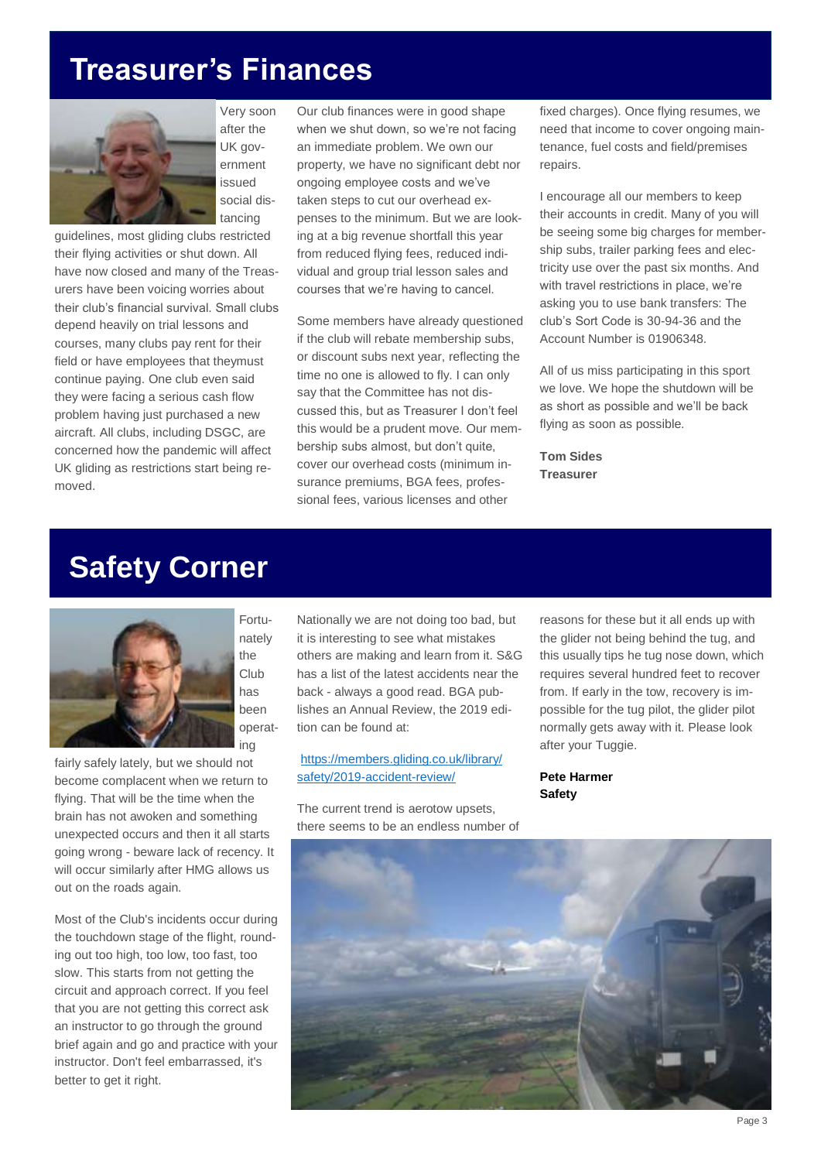# **Treasurer's Finances**



Very soon after the UK government issued social distancing

guidelines, most gliding clubs restricted their flying activities or shut down. All have now closed and many of the Treasurers have been voicing worries about their club's financial survival. Small clubs depend heavily on trial lessons and courses, many clubs pay rent for their field or have employees that theymust continue paying. One club even said they were facing a serious cash flow problem having just purchased a new aircraft. All clubs, including DSGC, are concerned how the pandemic will affect UK gliding as restrictions start being removed.

Our club finances were in good shape when we shut down, so we're not facing an immediate problem. We own our property, we have no significant debt nor ongoing employee costs and we've taken steps to cut our overhead expenses to the minimum. But we are looking at a big revenue shortfall this year from reduced flying fees, reduced individual and group trial lesson sales and courses that we're having to cancel.

Some members have already questioned if the club will rebate membership subs, or discount subs next year, reflecting the time no one is allowed to fly. I can only say that the Committee has not discussed this, but as Treasurer I don't feel this would be a prudent move. Our membership subs almost, but don't quite, cover our overhead costs (minimum insurance premiums, BGA fees, professional fees, various licenses and other

fixed charges). Once flying resumes, we need that income to cover ongoing maintenance, fuel costs and field/premises repairs.

I encourage all our members to keep their accounts in credit. Many of you will be seeing some big charges for membership subs, trailer parking fees and electricity use over the past six months. And with travel restrictions in place, we're asking you to use bank transfers: The club's Sort Code is 30-94-36 and the Account Number is 01906348.

All of us miss participating in this sport we love. We hope the shutdown will be as short as possible and we'll be back flying as soon as possible.

**Tom Sides Treasurer**

## **Safety Corner**



fairly safely lately, but we should not become complacent when we return to flying. That will be the time when the brain has not awoken and something unexpected occurs and then it all starts going wrong - beware lack of recency. It will occur similarly after HMG allows us out on the roads again.

Most of the Club's incidents occur during the touchdown stage of the flight, rounding out too high, too low, too fast, too slow. This starts from not getting the circuit and approach correct. If you feel that you are not getting this correct ask an instructor to go through the ground brief again and go and practice with your instructor. Don't feel embarrassed, it's better to get it right.

Nationally we are not doing too bad, but it is interesting to see what mistakes others are making and learn from it. S&G has a list of the latest accidents near the back - always a good read. BGA publishes an Annual Review, the 2019 edition can be found at:

[https://members.gliding.co.uk/library/](https://members.gliding.co.uk/library/safety/2019-accident-review/) [safety/2019-accident-review/](https://members.gliding.co.uk/library/safety/2019-accident-review/)

The current trend is aerotow upsets, there seems to be an endless number of reasons for these but it all ends up with the glider not being behind the tug, and this usually tips he tug nose down, which requires several hundred feet to recover from. If early in the tow, recovery is impossible for the tug pilot, the glider pilot normally gets away with it. Please look after your Tuggie.

**Pete Harmer Safety**

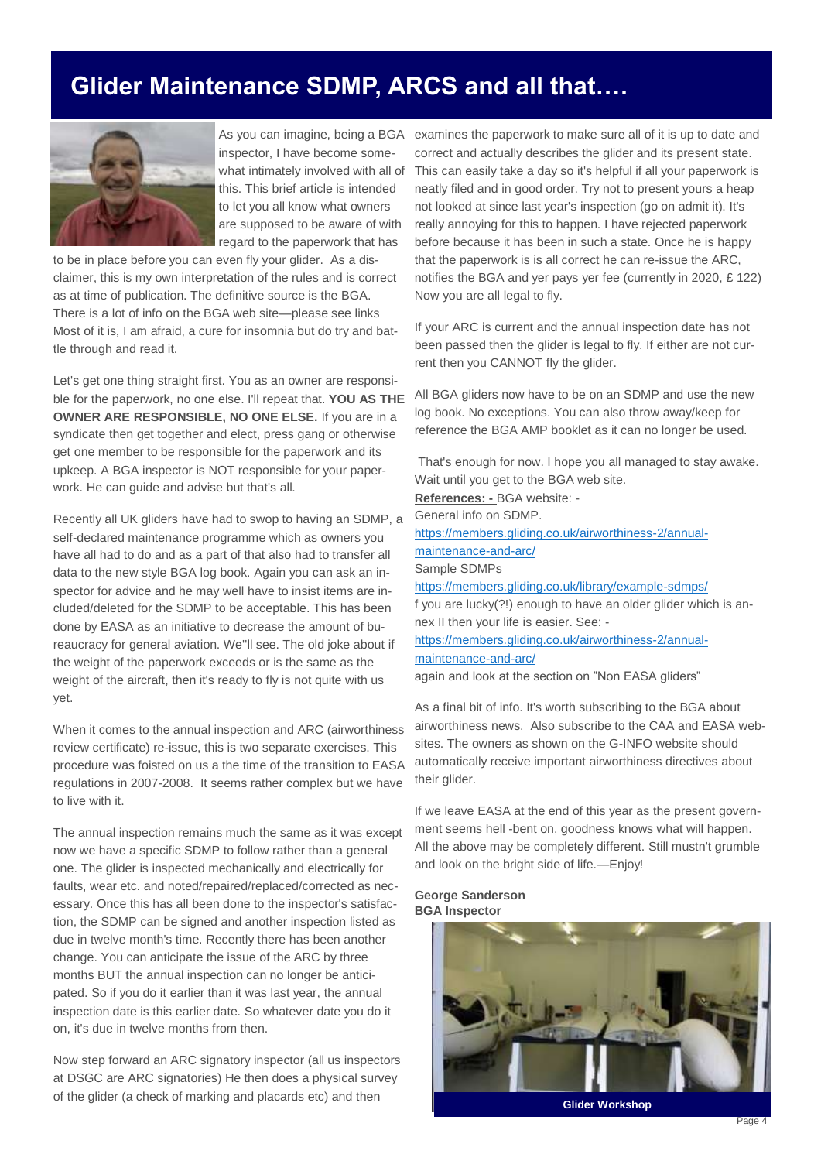### **Glider Maintenance SDMP, ARCS and all that….**



As you can imagine, being a BGA inspector, I have become somewhat intimately involved with all of this. This brief article is intended to let you all know what owners are supposed to be aware of with regard to the paperwork that has

to be in place before you can even fly your glider. As a disclaimer, this is my own interpretation of the rules and is correct as at time of publication. The definitive source is the BGA. There is a lot of info on the BGA web site—please see links Most of it is, I am afraid, a cure for insomnia but do try and battle through and read it.

Let's get one thing straight first. You as an owner are responsible for the paperwork, no one else. I'll repeat that. **YOU AS THE OWNER ARE RESPONSIBLE, NO ONE ELSE.** If you are in a syndicate then get together and elect, press gang or otherwise get one member to be responsible for the paperwork and its upkeep. A BGA inspector is NOT responsible for your paperwork. He can guide and advise but that's all.

Recently all UK gliders have had to swop to having an SDMP, a self-declared maintenance programme which as owners you have all had to do and as a part of that also had to transfer all data to the new style BGA log book. Again you can ask an inspector for advice and he may well have to insist items are included/deleted for the SDMP to be acceptable. This has been done by EASA as an initiative to decrease the amount of bureaucracy for general aviation. We''ll see. The old joke about if the weight of the paperwork exceeds or is the same as the weight of the aircraft, then it's ready to fly is not quite with us yet.

When it comes to the annual inspection and ARC (airworthiness review certificate) re-issue, this is two separate exercises. This procedure was foisted on us a the time of the transition to EASA regulations in 2007-2008. It seems rather complex but we have to live with it.

The annual inspection remains much the same as it was except now we have a specific SDMP to follow rather than a general one. The glider is inspected mechanically and electrically for faults, wear etc. and noted/repaired/replaced/corrected as necessary. Once this has all been done to the inspector's satisfaction, the SDMP can be signed and another inspection listed as due in twelve month's time. Recently there has been another change. You can anticipate the issue of the ARC by three months BUT the annual inspection can no longer be anticipated. So if you do it earlier than it was last year, the annual inspection date is this earlier date. So whatever date you do it on, it's due in twelve months from then.

Now step forward an ARC signatory inspector (all us inspectors at DSGC are ARC signatories) He then does a physical survey of the glider (a check of marking and placards etc) and then

examines the paperwork to make sure all of it is up to date and correct and actually describes the glider and its present state. This can easily take a day so it's helpful if all your paperwork is neatly filed and in good order. Try not to present yours a heap not looked at since last year's inspection (go on admit it). It's really annoying for this to happen. I have rejected paperwork before because it has been in such a state. Once he is happy that the paperwork is is all correct he can re-issue the ARC, notifies the BGA and yer pays yer fee (currently in 2020, £ 122) Now you are all legal to fly.

If your ARC is current and the annual inspection date has not been passed then the glider is legal to fly. If either are not current then you CANNOT fly the glider.

All BGA gliders now have to be on an SDMP and use the new log book. No exceptions. You can also throw away/keep for reference the BGA AMP booklet as it can no longer be used.

That's enough for now. I hope you all managed to stay awake. Wait until you get to the BGA web site. **References: -** BGA website: - General info on SDMP. [https://members.gliding.co.uk/airworthiness-2/annual](https://members.gliding.co.uk/airworthiness-2/annual-maintenance-and-arc/)[maintenance-and-arc/](https://members.gliding.co.uk/airworthiness-2/annual-maintenance-and-arc/) Sample SDMPs <https://members.gliding.co.uk/library/example-sdmps/> f you are lucky(?!) enough to have an older glider which is annex II then your life is easier. See: [https://members.gliding.co.uk/airworthiness-2/annual](https://members.gliding.co.uk/airworthiness-2/annual-maintenance-and-arc/)[maintenance-and-arc/](https://members.gliding.co.uk/airworthiness-2/annual-maintenance-and-arc/)

again and look at the section on "Non EASA gliders"

As a final bit of info. It's worth subscribing to the BGA about airworthiness news. Also subscribe to the CAA and EASA websites. The owners as shown on the G-INFO website should automatically receive important airworthiness directives about their glider.

If we leave EASA at the end of this year as the present government seems hell -bent on, goodness knows what will happen. All the above may be completely different. Still mustn't grumble and look on the bright side of life.—Enjoy!

#### **George Sanderson BGA Inspector**



**Glider Workshop**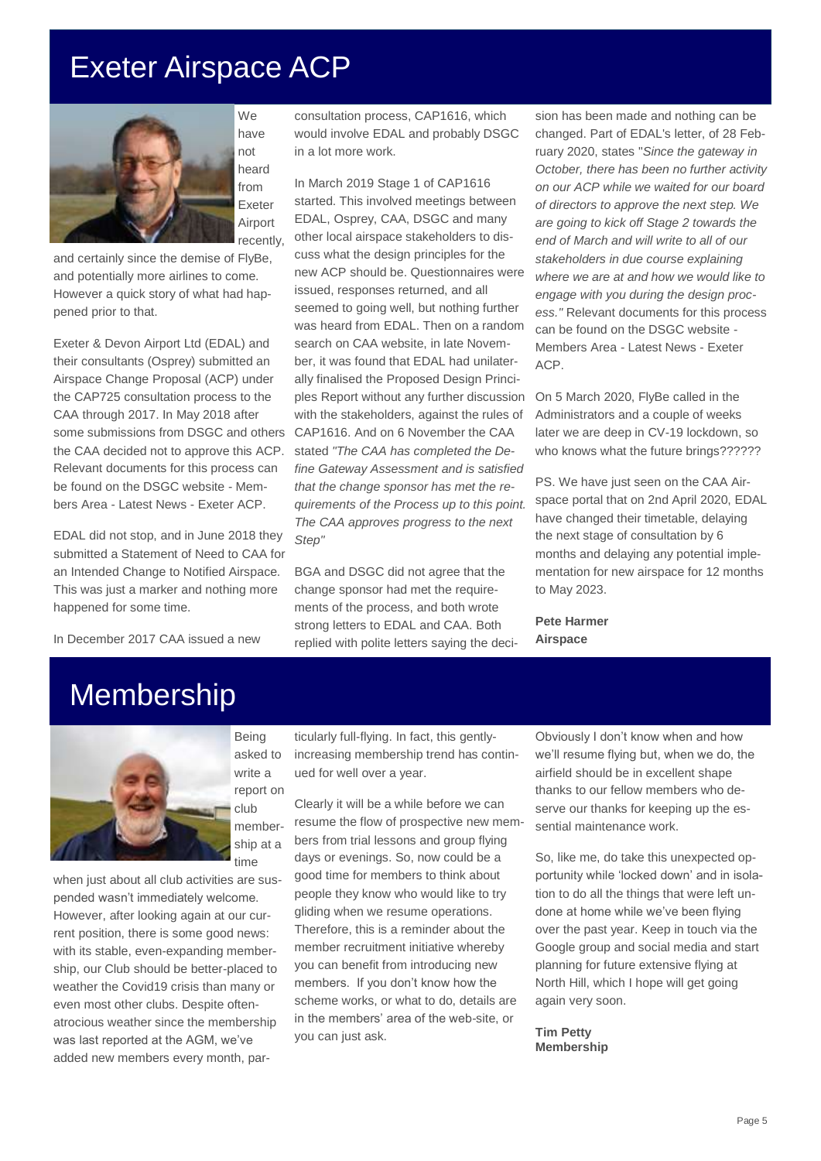# Exeter Airspace ACP



have not heard from Exeter Airport recently,

and certainly since the demise of FlyBe, and potentially more airlines to come. However a quick story of what had happened prior to that.

Exeter & Devon Airport Ltd (EDAL) and their consultants (Osprey) submitted an Airspace Change Proposal (ACP) under the CAP725 consultation process to the CAA through 2017. In May 2018 after some submissions from DSGC and others the CAA decided not to approve this ACP. Relevant documents for this process can be found on the DSGC website - Members Area - Latest News - Exeter ACP.

EDAL did not stop, and in June 2018 they submitted a Statement of Need to CAA for an Intended Change to Notified Airspace. This was just a marker and nothing more happened for some time.

In December 2017 CAA issued a new

consultation process, CAP1616, which would involve EDAL and probably DSGC in a lot more work.

In March 2019 Stage 1 of CAP1616 started. This involved meetings between EDAL, Osprey, CAA, DSGC and many other local airspace stakeholders to discuss what the design principles for the new ACP should be. Questionnaires were issued, responses returned, and all seemed to going well, but nothing further was heard from EDAL. Then on a random search on CAA website, in late November, it was found that EDAL had unilaterally finalised the Proposed Design Principles Report without any further discussion with the stakeholders, against the rules of CAP1616. And on 6 November the CAA stated *"The CAA has completed the Define Gateway Assessment and is satisfied that the change sponsor has met the requirements of the Process up to this point. The CAA approves progress to the next Step"*

BGA and DSGC did not agree that the change sponsor had met the requirements of the process, and both wrote strong letters to EDAL and CAA. Both replied with polite letters saying the deci-

sion has been made and nothing can be changed. Part of EDAL's letter, of 28 February 2020, states "*Since the gateway in October, there has been no further activity on our ACP while we waited for our board of directors to approve the next step. We are going to kick off Stage 2 towards the end of March and will write to all of our stakeholders in due course explaining where we are at and how we would like to engage with you during the design process."* Relevant documents for this process can be found on the DSGC website - Members Area - Latest News - Exeter ACP.

On 5 March 2020, FlyBe called in the Administrators and a couple of weeks later we are deep in CV-19 lockdown, so who knows what the future brings??????

PS. We have just seen on the CAA Airspace portal that on 2nd April 2020, EDAL have changed their timetable, delaying the next stage of consultation by 6 months and delaying any potential implementation for new airspace for 12 months to May 2023.

**Pete Harmer Airspace**

## Membership



Being asked to write a report on club membership at a time

when just about all club activities are suspended wasn't immediately welcome. However, after looking again at our current position, there is some good news: with its stable, even-expanding membership, our Club should be better-placed to weather the Covid19 crisis than many or even most other clubs. Despite oftenatrocious weather since the membership was last reported at the AGM, we've added new members every month, par-

ticularly full-flying. In fact, this gentlyincreasing membership trend has continued for well over a year.

Clearly it will be a while before we can resume the flow of prospective new members from trial lessons and group flying days or evenings. So, now could be a good time for members to think about people they know who would like to try gliding when we resume operations. Therefore, this is a reminder about the member recruitment initiative whereby you can benefit from introducing new members. If you don't know how the scheme works, or what to do, details are in the members' area of the web-site, or you can just ask.

Obviously I don't know when and how we'll resume flying but, when we do, the airfield should be in excellent shape thanks to our fellow members who deserve our thanks for keeping up the essential maintenance work.

So, like me, do take this unexpected opportunity while 'locked down' and in isolation to do all the things that were left undone at home while we've been flying over the past year. Keep in touch via the Google group and social media and start planning for future extensive flying at North Hill, which I hope will get going again very soon.

**Tim Petty Membership**